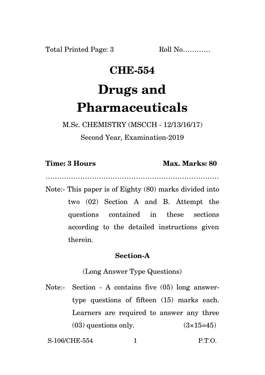Total Printed Page: 3 Roll No...........

## **CHE-554 Drugs and Pharmaceuticals**

M.Sc. CHEMISTRY (MSCCH - 12/13/16/17)

Second Year, Examination-2019

|  |  | <b>Time: 3 Hours</b> |
|--|--|----------------------|
|--|--|----------------------|

## **Max. Marks: 80**

…………………………………………………………………

Note:- This paper is of Eighty (80) marks divided into two (02) Section A and B. Attempt the questions contained in these sections according to the detailed instructions given therein.

## **Section-A**

(Long Answer Type Questions)

Note:- Section - A contains five (05) long answertype questions of fifteen (15) marks each. Learners are required to answer any three  $(03)$  questions only.  $(3\times15=45)$ 

S-106/CHE-554 1 P.T.O.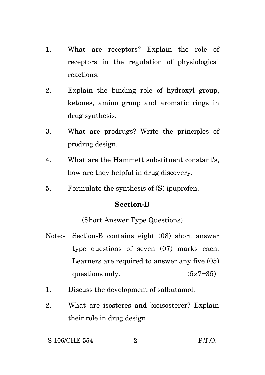- 1. What are receptors? Explain the role of receptors in the regulation of physiological reactions.
- 2. Explain the binding role of hydroxyl group, ketones, amino group and aromatic rings in drug synthesis.
- 3. What are prodrugs? Write the principles of prodrug design.
- 4. What are the Hammett substituent constant's, how are they helpful in drug discovery.
- 5. Formulate the synthesis of (S) ipuprofen.

## **Section-B**

(Short Answer Type Questions)

- Note:- Section-B contains eight (08) short answer type questions of seven (07) marks each. Learners are required to answer any five (05) questions only.  $(5 \times 7 = 35)$
- 1. Discuss the development of salbutamol.
- 2. What are isosteres and bioisosterer? Explain their role in drug design.

S-106/CHE-554 2 P.T.O.